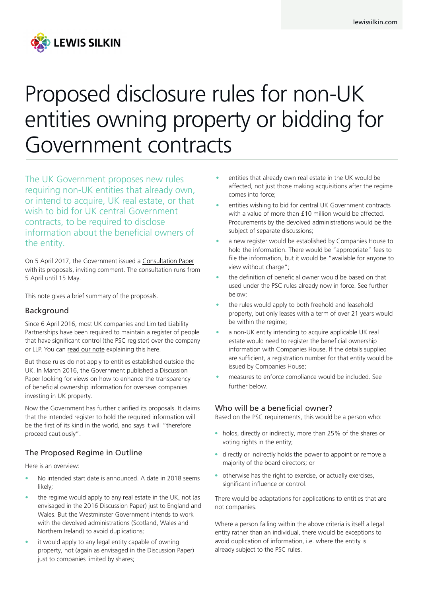

# Proposed disclosure rules for non-UK entities owning property or bidding for Government contracts

The UK Government proposes new rules requiring non-UK entities that already own, or intend to acquire, UK real estate, or that wish to bid for UK central Government contracts, to be required to disclose information about the beneficial owners of the entity.

On 5 April 2017, the Government issued a [Consultation Paper](https://www.gov.uk/government/uploads/system/uploads/attachment_data/file/606611/beneficial-ownership-register-call-evidence.pdf) with its proposals, inviting comment. The consultation runs from 5 April until 15 May.

This note gives a brief summary of the proposals.

#### Background

Since 6 April 2016, most UK companies and Limited Liability Partnerships have been required to maintain a register of people that have significant control (the PSC register) over the company or LLP. You can [read our note](http://www.lewissilkin.com/Insights/Register-of-people-with-significant-control-over-the-company---the-PSC-register.) explaining this here.

But those rules do not apply to entities established outside the UK. In March 2016, the Government published a Discussion Paper looking for views on how to enhance the transparency of beneficial ownership information for overseas companies investing in UK property.

Now the Government has further clarified its proposals. It claims that the intended register to hold the required information will be the first of its kind in the world, and says it will "therefore proceed cautiously".

## The Proposed Regime in Outline

Here is an overview:

- No intended start date is announced. A date in 2018 seems likely;
- the regime would apply to any real estate in the UK, not (as envisaged in the 2016 Discussion Paper) just to England and Wales. But the Westminster Government intends to work with the devolved administrations (Scotland, Wales and Northern Ireland) to avoid duplications;
- it would apply to any legal entity capable of owning property, not (again as envisaged in the Discussion Paper) just to companies limited by shares;
- entities that already own real estate in the UK would be affected, not just those making acquisitions after the regime comes into force;
- entities wishing to bid for central UK Government contracts with a value of more than £10 million would be affected. Procurements by the devolved administrations would be the subject of separate discussions;
- a new register would be established by Companies House to hold the information. There would be "appropriate" fees to file the information, but it would be "available for anyone to view without charge";
- the definition of beneficial owner would be based on that used under the PSC rules already now in force. See further below;
- the rules would apply to both freehold and leasehold property, but only leases with a term of over 21 years would be within the regime;
- a non-UK entity intending to acquire applicable UK real estate would need to register the beneficial ownership information with Companies House. If the details supplied are sufficient, a registration number for that entity would be issued by Companies House;
- measures to enforce compliance would be included. See further below.

#### Who will be a beneficial owner?

Based on the PSC requirements, this would be a person who:

- holds, directly or indirectly, more than 25% of the shares or voting rights in the entity;
- directly or indirectly holds the power to appoint or remove a majority of the board directors; or
- otherwise has the right to exercise, or actually exercises, significant influence or control.

There would be adaptations for applications to entities that are not companies.

Where a person falling within the above criteria is itself a legal entity rather than an individual, there would be exceptions to avoid duplication of information, i.e. where the entity is already subject to the PSC rules.